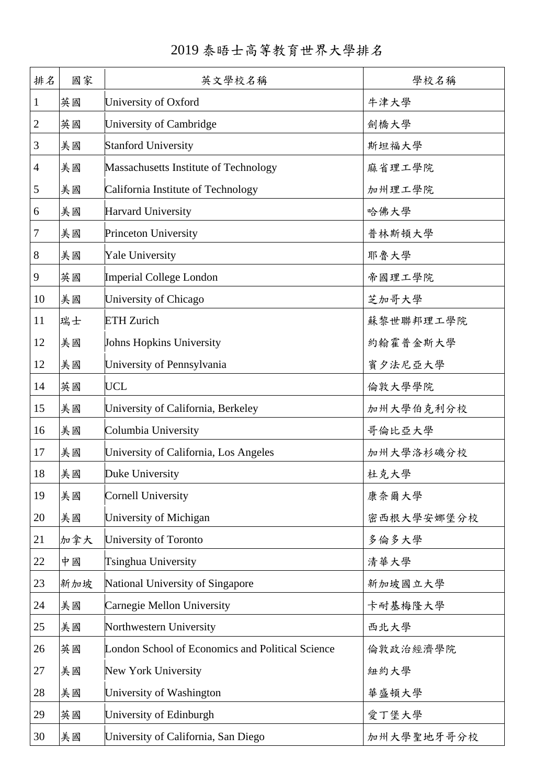| 2019 泰晤士高等教育世界大學排名 |  |  |  |  |  |  |
|--------------------|--|--|--|--|--|--|
|--------------------|--|--|--|--|--|--|

| 排名             | 國家  | 英文學校名稱                                           | 學校名稱       |
|----------------|-----|--------------------------------------------------|------------|
| $\mathbf{1}$   | 英國  | University of Oxford                             | 牛津大學       |
| $\mathbf{2}$   | 英國  | University of Cambridge                          | 劍橋大學       |
| 3              | 美國  | <b>Stanford University</b>                       | 斯坦福大學      |
| $\overline{4}$ | 美國  | Massachusetts Institute of Technology            | 麻省理工學院     |
| 5              | 美國  | California Institute of Technology               | 加州理工學院     |
| 6              | 美國  | <b>Harvard University</b>                        | 哈佛大學       |
| $\tau$         | 美國  | Princeton University                             | 普林斯頓大學     |
| 8              | 美國  | <b>Yale University</b>                           | 耶魯大學       |
| 9              | 英國  | Imperial College London                          | 帝國理工學院     |
| 10             | 美國  | University of Chicago                            | 芝加哥大學      |
| 11             | 瑞士  | <b>ETH</b> Zurich                                | 蘇黎世聯邦理工學院  |
| 12             | 美國  | Johns Hopkins University                         | 約翰霍普金斯大學   |
| 12             | 美國  | University of Pennsylvania                       | 賓夕法尼亞大學    |
| 14             | 英國  | <b>UCL</b>                                       | 倫敦大學學院     |
| 15             | 美國  | University of California, Berkeley               | 加州大學伯克利分校  |
| 16             | 美國  | Columbia University                              | 哥倫比亞大學     |
| 17             | 美國  | University of California, Los Angeles            | 加州大學洛杉磯分校  |
| 18             | 美國  | Duke University                                  | 杜克大學       |
| 19             | 美國  | <b>Cornell University</b>                        | 康奈爾大學      |
| 20             | 美國  | University of Michigan                           | 密西根大學安娜堡分校 |
| 21             | 加拿大 | University of Toronto                            | 多倫多大學      |
| 22             | 中國  | Tsinghua University                              | 清華大學       |
| 23             | 新加坡 | National University of Singapore                 | 新加坡國立大學    |
| 24             | 美國  | Carnegie Mellon University                       | 卡耐基梅隆大學    |
| 25             | 美國  | Northwestern University                          | 西北大學       |
| 26             | 英國  | London School of Economics and Political Science | 倫敦政治經濟學院   |
| 27             | 美國  | New York University                              | 紐約大學       |
| 28             | 美國  | University of Washington                         | 華盛頓大學      |
| 29             | 英國  | University of Edinburgh                          | 愛丁堡大學      |
| 30             | 美國  | University of California, San Diego              | 加州大學聖地牙哥分校 |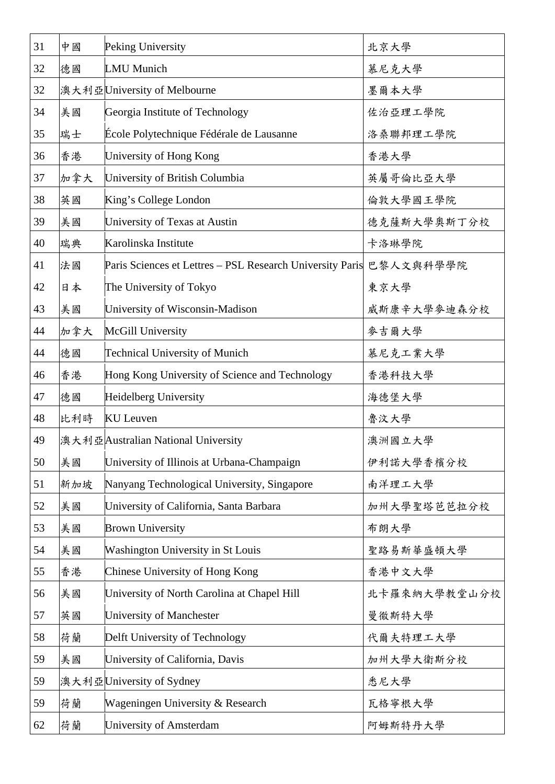| 31 | 中國  | Peking University                                         | 北京大學         |
|----|-----|-----------------------------------------------------------|--------------|
| 32 | 德國  | <b>LMU</b> Munich                                         | 慕尼克大學        |
| 32 |     | 澳大利亞University of Melbourne                               | 墨爾本大學        |
| 34 | 美國  | Georgia Institute of Technology                           | 佐治亞理工學院      |
| 35 | 瑞士  | École Polytechnique Fédérale de Lausanne                  | 洛桑聯邦理工學院     |
| 36 | 香港  | University of Hong Kong                                   | 香港大學         |
| 37 | 加拿大 | University of British Columbia                            | 英屬哥倫比亞大學     |
| 38 | 英國  | King's College London                                     | 倫敦大學國王學院     |
| 39 | 美國  | University of Texas at Austin                             | 德克薩斯大學奧斯丁分校  |
| 40 | 瑞典  | Karolinska Institute                                      | 卡洛琳學院        |
| 41 | 法國  | Paris Sciences et Lettres - PSL Research University Paris | 巴黎人文與科學學院    |
| 42 | 日本  | The University of Tokyo                                   | 東京大學         |
| 43 | 美國  | University of Wisconsin-Madison                           | 威斯康辛大學麥迪森分校  |
| 44 | 加拿大 | McGill University                                         | 麥吉爾大學        |
| 44 | 德國  | <b>Technical University of Munich</b>                     | 慕尼克工業大學      |
| 46 | 香港  | Hong Kong University of Science and Technology            | 香港科技大學       |
| 47 | 德國  | Heidelberg University                                     | 海德堡大學        |
| 48 | 比利時 | <b>KU</b> Leuven                                          | 魯汶大學         |
| 49 |     | 澳大利亞Australian National University                        | 澳洲國立大學       |
| 50 | 美國  | University of Illinois at Urbana-Champaign                | 伊利諾大學香檳分校    |
| 51 | 新加坡 | Nanyang Technological University, Singapore               | 南洋理工大學       |
| 52 | 美國  | University of California, Santa Barbara                   | 加州大學聖塔芭芭拉分校  |
| 53 | 美國  | <b>Brown University</b>                                   | 布朗大學         |
| 54 | 美國  | <b>Washington University in St Louis</b>                  | 聖路易斯華盛頓大學    |
| 55 | 香港  | Chinese University of Hong Kong                           | 香港中文大學       |
| 56 | 美國  | University of North Carolina at Chapel Hill               | 北卡羅來納大學教堂山分校 |
| 57 | 英國  | University of Manchester                                  | 曼徹斯特大學       |
| 58 | 荷蘭  | Delft University of Technology                            | 代爾夫特理工大學     |
| 59 | 美國  | University of California, Davis                           | 加州大學大衛斯分校    |
| 59 |     | 澳大利亞 University of Sydney                                 | 悉尼大學         |
| 59 | 荷蘭  | Wageningen University & Research                          | 瓦格寧根大學       |
| 62 | 荷蘭  | University of Amsterdam                                   | 阿姆斯特丹大學      |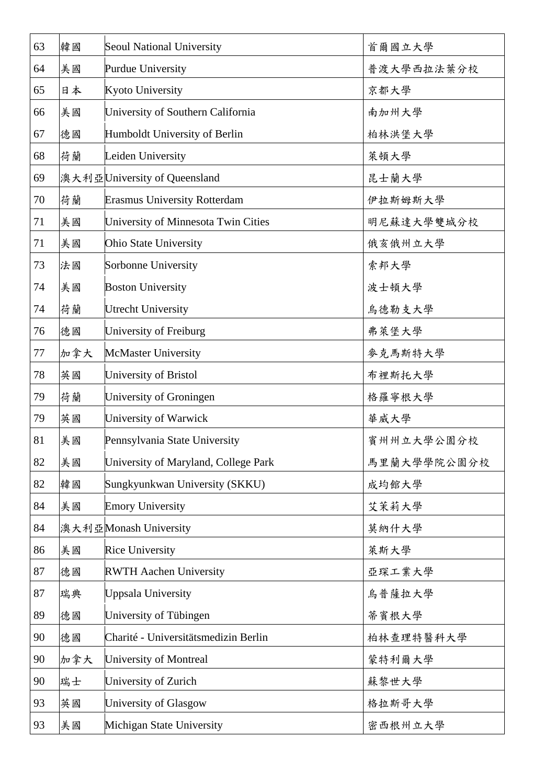| 63 | 韓國  | <b>Seoul National University</b>     | 首爾國立大學      |
|----|-----|--------------------------------------|-------------|
| 64 | 美國  | Purdue University                    | 普渡大學西拉法葉分校  |
| 65 | 日本  | <b>Kyoto University</b>              | 京都大學        |
| 66 | 美國  | University of Southern California    | 南加州大學       |
| 67 | 德國  | Humboldt University of Berlin        | 柏林洪堡大學      |
| 68 | 荷蘭  | Leiden University                    | 萊頓大學        |
| 69 |     | 澳大利亞 University of Queensland        | 昆士蘭大學       |
| 70 | 荷蘭  | <b>Erasmus University Rotterdam</b>  | 伊拉斯姆斯大學     |
| 71 | 美國  | University of Minnesota Twin Cities  | 明尼蘇達大學雙城分校  |
| 71 | 美國  | Ohio State University                | 俄亥俄州立大學     |
| 73 | 法國  | Sorbonne University                  | 索邦大學        |
| 74 | 美國  | <b>Boston University</b>             | 波士頓大學       |
| 74 | 荷蘭  | <b>Utrecht University</b>            | 烏德勒支大學      |
| 76 | 德國  | University of Freiburg               | 弗萊堡大學       |
| 77 | 加拿大 | <b>McMaster University</b>           | 麥克馬斯特大學     |
| 78 | 英國  | University of Bristol                | 布裡斯托大學      |
| 79 | 荷蘭  | University of Groningen              | 格羅寧根大學      |
| 79 | 英國  | University of Warwick                | 華威大學        |
| 81 | 美國  | Pennsylvania State University        | 賓州州立大學公園分校  |
| 82 | 美國  | University of Maryland, College Park | 馬里蘭大學學院公園分校 |
| 82 | 韓國  | Sungkyunkwan University (SKKU)       | 成均館大學       |
| 84 | 美國  | <b>Emory University</b>              | 艾茉莉大學       |
| 84 |     | 澳大利亞Monash University                | 莫納什大學       |
| 86 | 美國  | <b>Rice University</b>               | 萊斯大學        |
| 87 | 德國  | <b>RWTH Aachen University</b>        | 亞琛工業大學      |
| 87 | 瑞典  | <b>Uppsala University</b>            | 烏普薩拉大學      |
| 89 | 德國  | University of Tübingen               | 蒂賓根大學       |
| 90 | 德國  | Charité - Universitätsmedizin Berlin | 柏林查理特醫科大學   |
| 90 | 加拿大 | University of Montreal               | 蒙特利爾大學      |
| 90 | 瑞士  | University of Zurich                 | 蘇黎世大學       |
| 93 | 英國  | University of Glasgow                | 格拉斯哥大學      |
| 93 | 美國  | Michigan State University            | 密西根州立大學     |